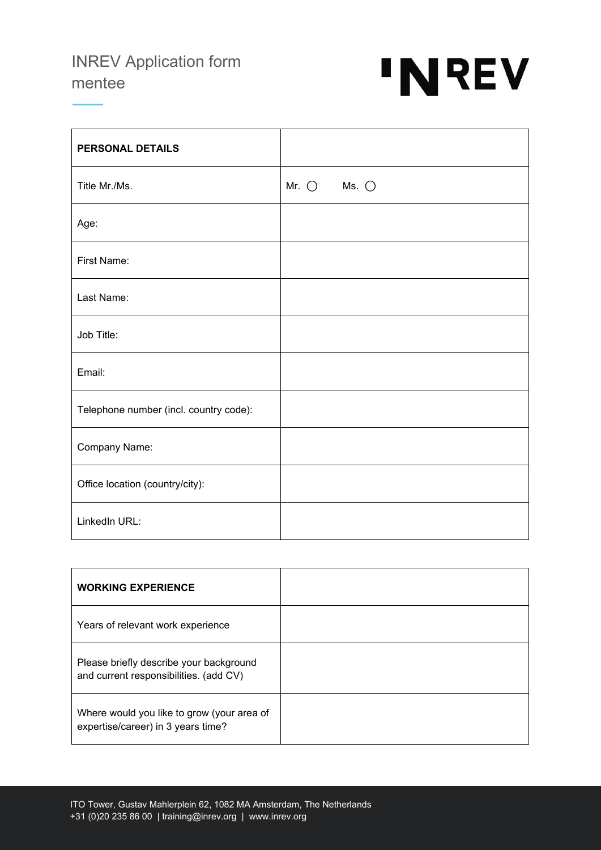## INREV Application form mentee



| <b>PERSONAL DETAILS</b>                |                                  |
|----------------------------------------|----------------------------------|
| Title Mr./Ms.                          | Mr. $\bigcirc$<br>Ms. $\bigcirc$ |
| Age:                                   |                                  |
| First Name:                            |                                  |
| Last Name:                             |                                  |
| Job Title:                             |                                  |
| Email:                                 |                                  |
| Telephone number (incl. country code): |                                  |
| Company Name:                          |                                  |
| Office location (country/city):        |                                  |
| LinkedIn URL:                          |                                  |

| <b>WORKING EXPERIENCE</b>                                                         |  |
|-----------------------------------------------------------------------------------|--|
| Years of relevant work experience                                                 |  |
| Please briefly describe your background<br>and current responsibilities. (add CV) |  |
| Where would you like to grow (your area of<br>expertise/career) in 3 years time?  |  |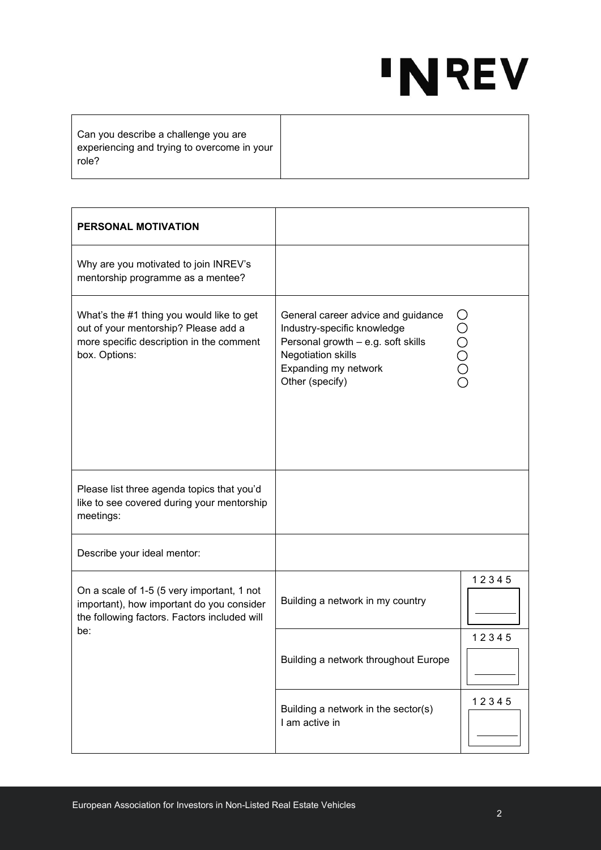## 'NREV

Can you describe a challenge you are experiencing and trying to overcome in your role?

| PERSONAL MOTIVATION                                                                                                                            |                                                                                                                                                                                 |       |
|------------------------------------------------------------------------------------------------------------------------------------------------|---------------------------------------------------------------------------------------------------------------------------------------------------------------------------------|-------|
| Why are you motivated to join INREV's<br>mentorship programme as a mentee?                                                                     |                                                                                                                                                                                 |       |
| What's the #1 thing you would like to get<br>out of your mentorship? Please add a<br>more specific description in the comment<br>box. Options: | General career advice and guidance<br>Industry-specific knowledge<br>Personal growth - e.g. soft skills<br><b>Negotiation skills</b><br>Expanding my network<br>Other (specify) | UOOOO |
| Please list three agenda topics that you'd<br>like to see covered during your mentorship<br>meetings:                                          |                                                                                                                                                                                 |       |
| Describe your ideal mentor:                                                                                                                    |                                                                                                                                                                                 |       |
| On a scale of 1-5 (5 very important, 1 not<br>important), how important do you consider<br>the following factors. Factors included will<br>be: | Building a network in my country                                                                                                                                                | 12345 |
|                                                                                                                                                | Building a network throughout Europe                                                                                                                                            | 12345 |
|                                                                                                                                                | Building a network in the sector(s)<br>I am active in                                                                                                                           | 12345 |